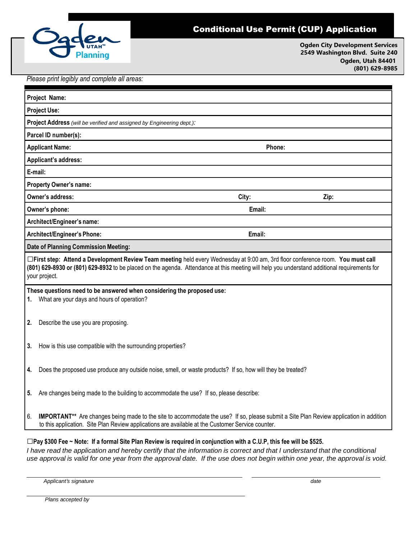

## Conditional Use Permit (CUP) Application

**Ogden City Development Services 2549 Washington Blvd. Suite 240 Ogden, Utah 84401 (801) 629-8985**

*Please print legibly and complete all areas:*

| Project Name:                                                                                                                                                                                                                                                                                    |                                                                                                   |                                                                                                                                        |      |  |
|--------------------------------------------------------------------------------------------------------------------------------------------------------------------------------------------------------------------------------------------------------------------------------------------------|---------------------------------------------------------------------------------------------------|----------------------------------------------------------------------------------------------------------------------------------------|------|--|
| <b>Project Use:</b>                                                                                                                                                                                                                                                                              |                                                                                                   |                                                                                                                                        |      |  |
| Project Address (will be verified and assigned by Engineering dept.):                                                                                                                                                                                                                            |                                                                                                   |                                                                                                                                        |      |  |
| Parcel ID number(s):                                                                                                                                                                                                                                                                             |                                                                                                   |                                                                                                                                        |      |  |
| <b>Applicant Name:</b>                                                                                                                                                                                                                                                                           |                                                                                                   | Phone:                                                                                                                                 |      |  |
| Applicant's address:                                                                                                                                                                                                                                                                             |                                                                                                   |                                                                                                                                        |      |  |
| E-mail:                                                                                                                                                                                                                                                                                          |                                                                                                   |                                                                                                                                        |      |  |
| <b>Property Owner's name:</b>                                                                                                                                                                                                                                                                    |                                                                                                   |                                                                                                                                        |      |  |
|                                                                                                                                                                                                                                                                                                  | Owner's address:                                                                                  | City:                                                                                                                                  | Zip: |  |
| Owner's phone:<br>Email:                                                                                                                                                                                                                                                                         |                                                                                                   |                                                                                                                                        |      |  |
| Architect/Engineer's name:                                                                                                                                                                                                                                                                       |                                                                                                   |                                                                                                                                        |      |  |
| Architect/Engineer's Phone:                                                                                                                                                                                                                                                                      |                                                                                                   | Email:                                                                                                                                 |      |  |
| <b>Date of Planning Commission Meeting:</b>                                                                                                                                                                                                                                                      |                                                                                                   |                                                                                                                                        |      |  |
| □First step: Attend a Development Review Team meeting held every Wednesday at 9:00 am, 3rd floor conference room. You must call<br>(801) 629-8930 or (801) 629-8932 to be placed on the agenda. Attendance at this meeting will help you understand additional requirements for<br>your project. |                                                                                                   |                                                                                                                                        |      |  |
| These questions need to be answered when considering the proposed use:<br>What are your days and hours of operation?<br>1.                                                                                                                                                                       |                                                                                                   |                                                                                                                                        |      |  |
| 2.                                                                                                                                                                                                                                                                                               | Describe the use you are proposing.                                                               |                                                                                                                                        |      |  |
| 3.                                                                                                                                                                                                                                                                                               | How is this use compatible with the surrounding properties?                                       |                                                                                                                                        |      |  |
| 4.                                                                                                                                                                                                                                                                                               |                                                                                                   | Does the proposed use produce any outside noise, smell, or waste products? If so, how will they be treated?                            |      |  |
| 5.                                                                                                                                                                                                                                                                                               | Are changes being made to the building to accommodate the use? If so, please describe:            |                                                                                                                                        |      |  |
| 6.                                                                                                                                                                                                                                                                                               | to this application. Site Plan Review applications are available at the Customer Service counter. | IMPORTANT** Are changes being made to the site to accommodate the use? If so, please submit a Site Plan Review application in addition |      |  |

□Pay \$300 Fee ~ Note: If a formal Site Plan Review is required in conjunction with a C.U.P, this fee will be \$525. I have read the application and hereby certify that the information is correct and that I understand that the conditional use approval is valid for one year from the approval date. If the use does not begin within one year, the approval is void.

*Applicant's signature date*